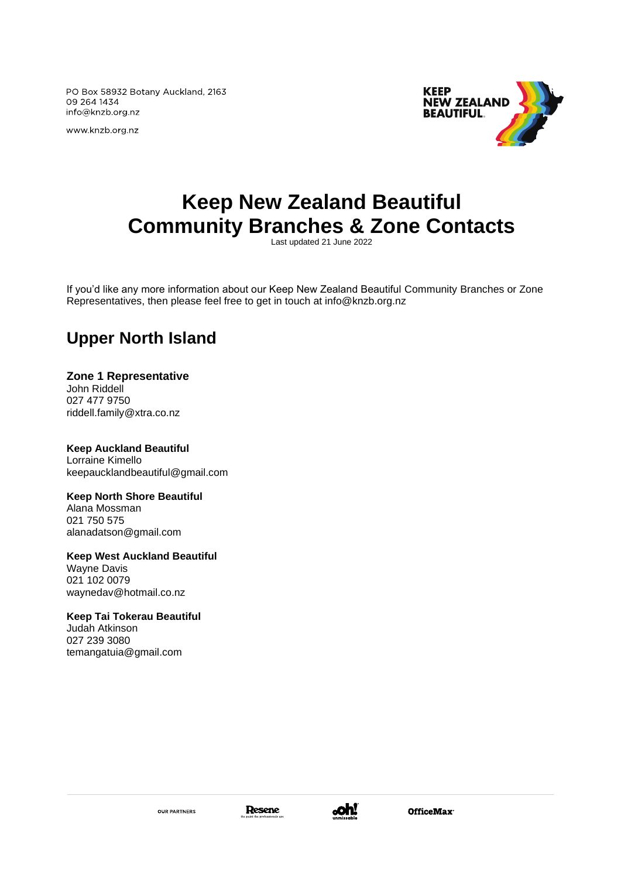PO Box 58932 Botany Auckland, 2163 09 264 1434 info@knzb.org.nz

www.knzb.org.nz



# **Keep New Zealand Beautiful Community Branches & Zone Contacts**

Last updated 21 June 2022

If you'd like any more information about our Keep New Zealand Beautiful Community Branches or Zone Representatives, then please feel free to get in touch at info@knzb.org.nz

### **Upper North Island**

#### **Zone 1 Representative**

John Riddell 027 477 9750 [riddell.family@xtra.co.nz](mailto:riddell.family@xtra.co.nz)

**Keep Auckland Beautiful** Lorraine Kimello keepaucklandbeautiful@gmail.com

#### **Keep North Shore Beautiful**

Alana Mossman 021 750 575 alanadatson@gmail.com

#### **Keep West Auckland Beautiful** Wayne Davis 021 102 0079

[waynedav@hotmail.co.nz](mailto:waynedav@hotmail.co.nz)

#### **Keep Tai Tokerau Beautiful**

Judah Atkinson 027 239 3080 temangatuia@gmail.com



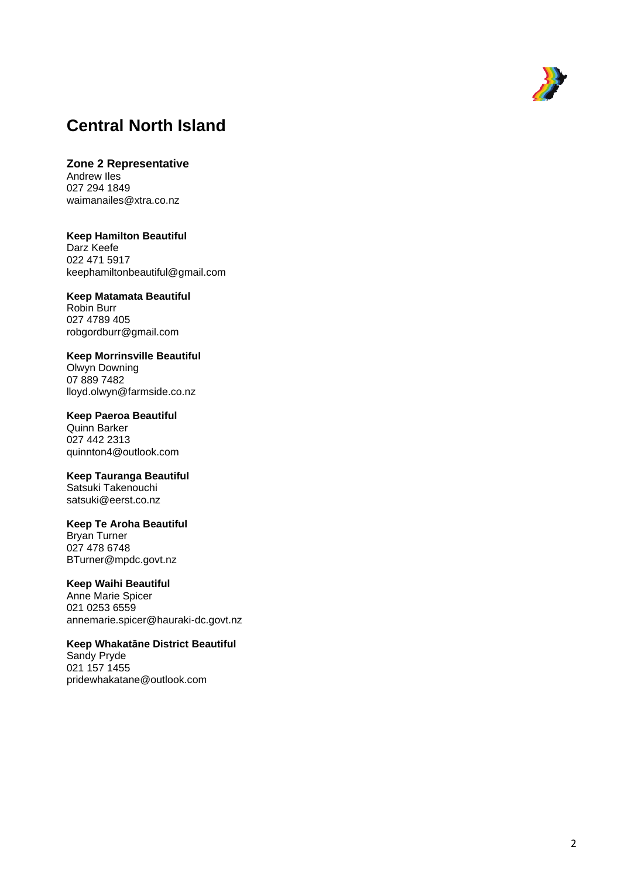

### **Central North Island**

**Zone 2 Representative** Andrew Iles 027 294 1849 [waimanailes@xtra.co.nz](mailto:waimanailes@xtra.co.nz)

**Keep Hamilton Beautiful** Darz Keefe 022 471 5917 [keephamiltonbeautiful@gmail.com](mailto:keephamiltonbeautiful@gmail.com)

**Keep Matamata Beautifu l** Robin Burr 027 4789 405 [robgordburr@gmail.com](mailto:robgordburr@gmail.com)

**Keep Morrinsville Beautiful** Olwyn Downing 07 889 7482 [lloyd.olwyn@farmside.co.nz](mailto:lloyd.olwyn@farmside.co.nz)

**Keep Paeroa Beautiful** Quinn Barker 027 442 2313 quinnton4@outlook.com

**Keep Tauranga Beautiful** Satsuki Takenouchi [satsuki@eerst.co.nz](mailto:satsuki@eerst.co.nz)

**Keep Te Aroha Beautiful** Bryan Turner 027 478 6748 [BTurner@mpdc.govt.nz](mailto:BTurner@mpdc.govt.nz)

#### **Keep Waihi Beautiful**

Anne Marie Spicer 021 0253 6559 annemarie.spicer@hauraki -dc.govt.nz

**Keep Whakat āne District Beautiful**

Sandy Pryde 021 157 1455 [pridewhakatane@outlook.com](mailto:pridewhakatane@outlook.com)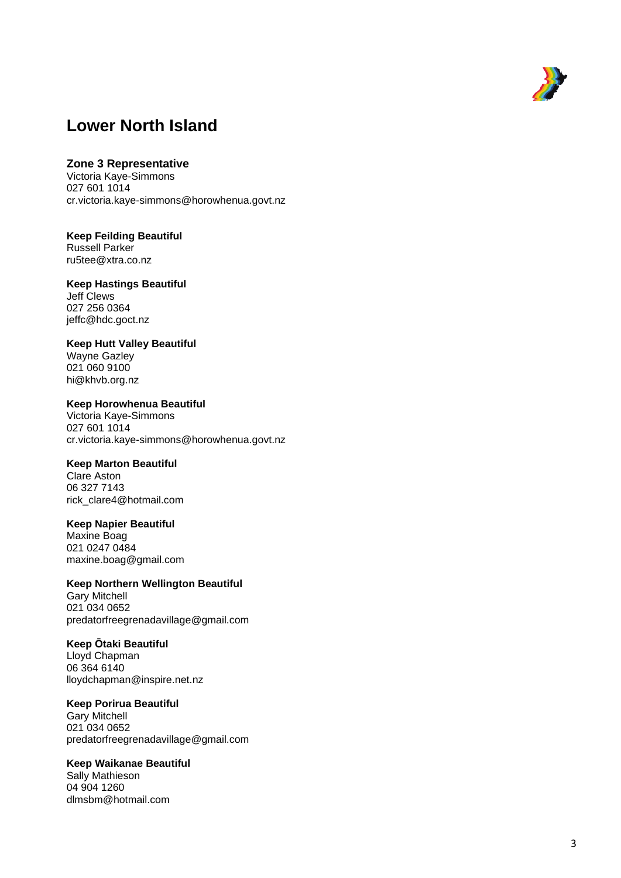

### **Lower North Island**

#### **Zone 3 Representative**

Victoria Kaye -Simmons 027 601 1014 cr.victoria.kaye -simmons@horowhenua.govt.nz

### **Keep Feilding Beautiful**

Russell Parker [ru5tee@xtra.co.nz](mailto:reena@wallisaide.com)

#### **Keep Hastings Beautiful**

Jeff Clews 027 256 0364 jeffc@hdc.goct.nz

#### **Keep Hutt Valley Beautiful**

Wayne Gazley 021 060 9100 [hi@khvb.org.nz](mailto:hi@khvb.org.nz)

#### **Keep Horowhenua Beautiful**

Victoria Kaye -Simmons 027 601 1014 cr.victoria.kaye -simmons@horowhenua.govt.nz

#### **Keep Marton Beautiful**

Clare Aston 06 327 7143 [rick\\_clare4@hotmail.com](mailto:rick_clare4@hotmail.com)

#### **Keep Napier Beautiful**

Maxine Boag 021 0247 0484 [maxine.boag@gmail.com](mailto:keepnapierbeautiful@yahoo.co.nz)

#### **Keep Northern Wellington Beautiful**

Gary Mitchell 021 034 0652 predatorfreegrenadavillage@gmail.com

#### **Keep Ōtaki Beautiful**

Lloyd Chapman 06 364 6140 [lloydchapman@inspire.net.nz](mailto:lloydchapman@inspire.net.nz)

#### **Keep Porirua Beautiful**

Gary Mitchell 021 034 0652 [predatorfreegrenadavillage@gmail.com](mailto:predatorfreegrenadavillage@gmail.com)

#### **Keep Waikanae Beautiful**

Sally Mathieson 04 904 1260 [dlmsbm@hotmail.com](mailto:dlmsbm@hotmail.com)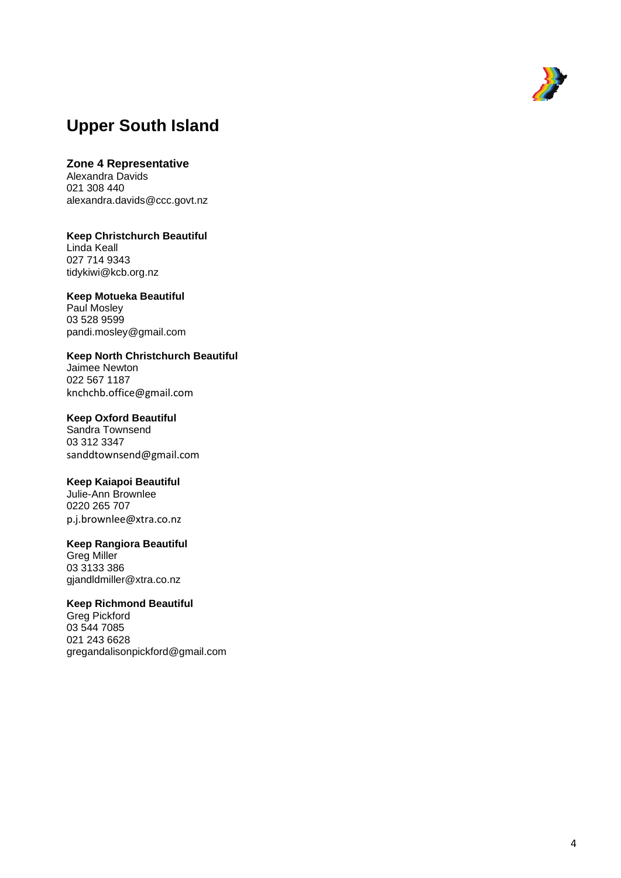

## **Upper South Island**

#### **Zone 4 Representative**

Alexandra Davids 021 308 440 [alexandra.davids@ccc.govt.nz](mailto:alexandra.davids@ccc.govt.nz)

**Keep Christchurch Beautiful** Linda Keall 027 714 9343 [tidykiwi@kcb.org.nz](mailto:hendersonkeall@outlook.com)

**Keep Motueka Beautiful** Paul Mosley 03 528 9599 [pandi.mosley@gmail.com](mailto:pandi.mosley@gmail.com)

**Keep North Christchurch Beautiful** Jaimee Newton 022 567 1187 knchchb.office@gmail.com

#### **Keep Oxford Beautiful**

Sandra Townsend 03 312 3347 [sanddtownsend@gmail.com](mailto:sanddtownsend@gmail.com)

#### **Keep Kaiapoi Beautiful**

Julie -Ann Brownlee 0220 265 707 p.j.brownlee@xtra.co.nz

#### **Keep Rangiora Beautiful**

Greg Miller 03 3133 386 gjandldmiller@xtra.co.nz

#### **Keep Richmond Beautiful**

Greg Pickford 03 544 7085 021 243 6628 [gregandalisonpickford@gmail.com](mailto:gregandalisonpickford@gmail.com)